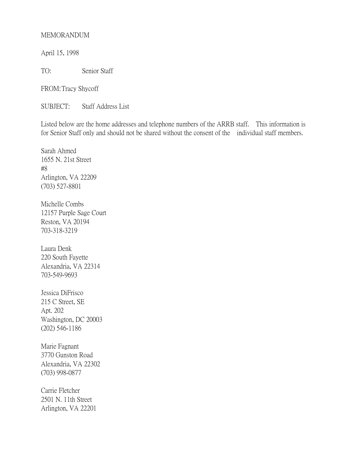## MEMORANDUM

April 15, 1998

TO: Senior Staff

FROM:Tracy Shycoff

SUBJECT: Staff Address List

Listed below are the home addresses and telephone numbers of the ARRB staff. This information is for Senior Staff only and should not be shared without the consent of the individual staff members.

Sarah Ahmed 1655 N. 21st Street #8 Arlington, VA 22209 (703) 527-8801

Michelle Combs 12157 Purple Sage Court Reston, VA 20194 703-318-3219

Laura Denk 220 South Fayette Alexandria, VA 22314 703-549-9693

Jessica DiFrisco 215 C Street, SE Apt. 202 Washington, DC 20003 (202) 546-1186

Marie Fagnant 3770 Gunston Road Alexandria, VA 22302 (703) 998-0877

Carrie Fletcher 2501 N. 11th Street Arlington, VA 22201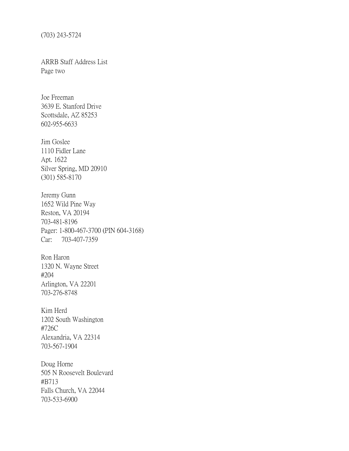(703) 243-5724

ARRB Staff Address List Page two

Joe Freeman 3639 E. Stanford Drive Scottsdale, AZ 85253 602-955-6633

Jim Goslee 1110 Fidler Lane Apt. 1622 Silver Spring, MD 20910 (301) 585-8170

Jeremy Gunn 1652 Wild Pine Way Reston, VA 20194 703-481-8196 Pager: 1-800-467-3700 (PIN 604-3168) Car: 703-407-7359

Ron Haron 1320 N. Wayne Street #204 Arlington, VA 22201 703-276-8748

Kim Herd 1202 South Washington #726C Alexandria, VA 22314 703-567-1904

Doug Horne 505 N Roosevelt Boulevard #B713 Falls Church, VA 22044 703-533-6900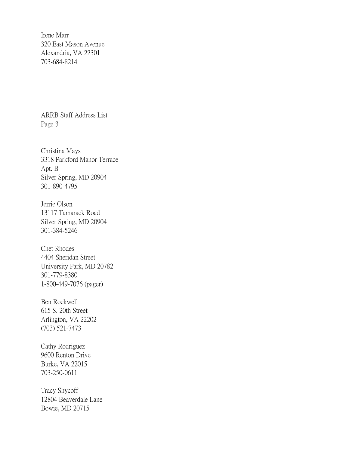Irene Marr 320 East Mason Avenue Alexandria, VA 22301 703-684-8214

ARRB Staff Address List Page 3

Christina Mays 3318 Parkford Manor Terrace Apt. B Silver Spring, MD 20904 301-890-4795

Jerrie Olson 13117 Tamarack Road Silver Spring, MD 20904 301-384-5246

Chet Rhodes 4404 Sheridan Street University Park, MD 20782 301-779-8380 1-800-449-7076 (pager)

Ben Rockwell 615 S. 20th Street Arlington, VA 22202 (703) 521-7473

Cathy Rodriguez 9600 Renton Drive Burke, VA 22015 703-250-0611

Tracy Shycoff 12804 Beaverdale Lane Bowie, MD 20715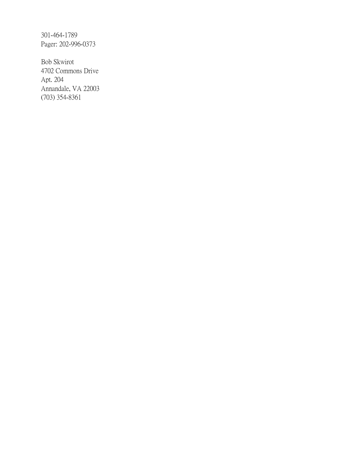301-464-1789 Pager: 202-996-0373

Bob Skwirot 4702 Commons Drive Apt. 204 Annandale, VA 22003 (703) 354-8361